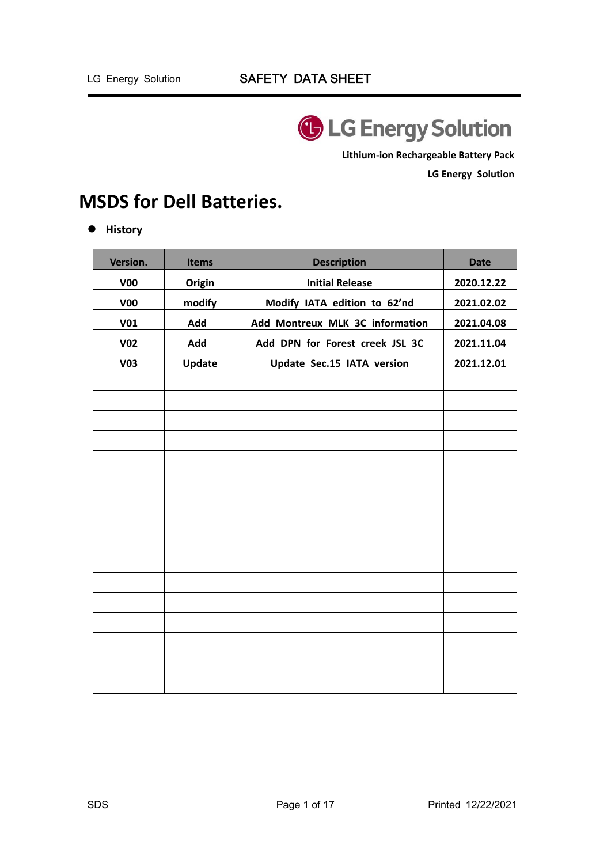

**Lithium‐ion Rechargeable Battery Pack** 

**LG Energy Solution** 

# **MSDS for Dell Batteries.**

 $\bullet$  History

| Version.        | <b>Items</b> | <b>Description</b>              | <b>Date</b> |
|-----------------|--------------|---------------------------------|-------------|
| V <sub>00</sub> | Origin       | <b>Initial Release</b>          | 2020.12.22  |
| V <sub>00</sub> | modify       | Modify IATA edition to 62'nd    | 2021.02.02  |
| <b>V01</b>      | Add          | Add Montreux MLK 3C information | 2021.04.08  |
| <b>V02</b>      | Add          | Add DPN for Forest creek JSL 3C | 2021.11.04  |
| <b>V03</b>      | Update       | Update Sec.15 IATA version      | 2021.12.01  |
|                 |              |                                 |             |
|                 |              |                                 |             |
|                 |              |                                 |             |
|                 |              |                                 |             |
|                 |              |                                 |             |
|                 |              |                                 |             |
|                 |              |                                 |             |
|                 |              |                                 |             |
|                 |              |                                 |             |
|                 |              |                                 |             |
|                 |              |                                 |             |
|                 |              |                                 |             |
|                 |              |                                 |             |
|                 |              |                                 |             |
|                 |              |                                 |             |
|                 |              |                                 |             |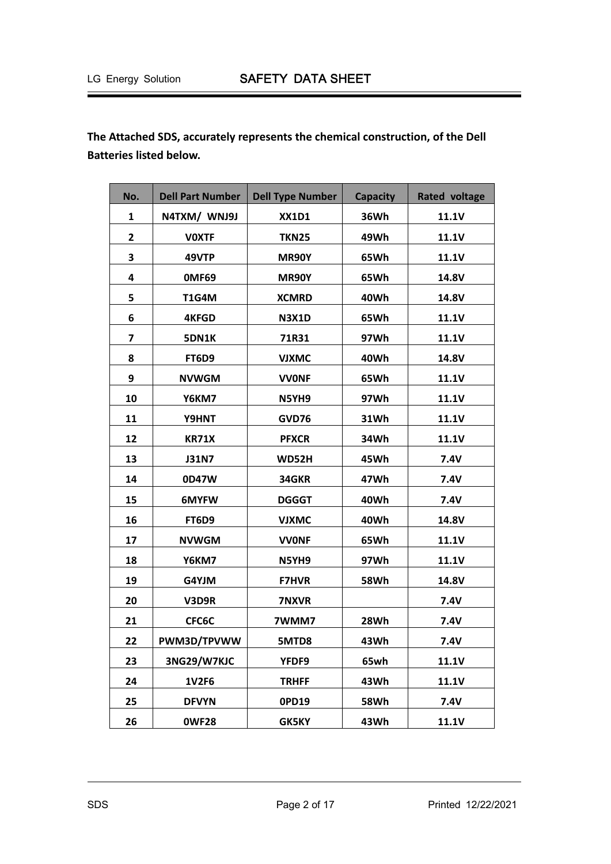**The Attached SDS, accurately represents the chemical construction, of the Dell Batteries listed below.** 

| No. | <b>Dell Part Number</b> | <b>Dell Type Number</b> | <b>Capacity</b> | <b>Rated voltage</b> |
|-----|-------------------------|-------------------------|-----------------|----------------------|
| 1   | N4TXM/ WNJ9J            | <b>XX1D1</b>            | 36Wh            | 11.1V                |
| 2   | <b>VOXTF</b>            | <b>TKN25</b>            | 49Wh            | 11.1V                |
| 3   | 49VTP                   | <b>MR90Y</b>            | 65Wh            | <b>11.1V</b>         |
| 4   | OMF69                   | <b>MR90Y</b>            | 65Wh            | 14.8V                |
| 5   | <b>T1G4M</b>            | <b>XCMRD</b>            | 40Wh            | 14.8V                |
| 6   | <b>4KFGD</b>            | <b>N3X1D</b>            | 65Wh            | 11.1V                |
| 7   | <b>5DN1K</b>            | 71R31                   | 97Wh            | 11.1V                |
| 8   | FT6D9                   | <b>VJXMC</b>            | 40Wh            | 14.8V                |
| 9   | <b>NVWGM</b>            | <b>VVONF</b>            | 65Wh            | <b>11.1V</b>         |
| 10  | Y6KM7                   | N5YH9                   | 97Wh            | 11.1V                |
| 11  | Y9HNT                   | GVD76                   | 31Wh            | 11.1V                |
| 12  | <b>KR71X</b>            | <b>PFXCR</b>            | 34Wh            | 11.1V                |
| 13  | <b>J31N7</b>            | <b>WD52H</b>            | 45Wh            | 7.4V                 |
| 14  | 0D47W                   | 34GKR                   | 47Wh            | 7.4V                 |
| 15  | 6MYFW                   | <b>DGGGT</b>            | 40Wh            | 7.4V                 |
| 16  | FT6D9                   | <b>VJXMC</b>            | 40Wh            | 14.8V                |
| 17  | <b>NVWGM</b>            | <b>VVONF</b>            | 65Wh            | <b>11.1V</b>         |
| 18  | Y6KM7                   | N5YH9                   | 97Wh            | 11.1V                |
| 19  | G4YJM                   | <b>F7HVR</b>            | <b>58Wh</b>     | 14.8V                |
| 20  | V3D9R                   | 7NXVR                   |                 | <b>7.4V</b>          |
| 21  | CFC6C                   | 7WMM7                   | 28Wh            | 7.4V                 |
| 22  | PWM3D/TPVWW             | 5MTD8                   | 43Wh            | 7.4V                 |
| 23  | 3NG29/W7KJC             | YFDF9                   | 65wh            | 11.1V                |
| 24  | <b>1V2F6</b>            | <b>TRHFF</b>            | 43Wh            | 11.1V                |
| 25  | <b>DFVYN</b>            | 0PD19                   | <b>58Wh</b>     | 7.4V                 |
| 26  | <b>OWF28</b>            | <b>GK5KY</b>            | 43Wh            | 11.1V                |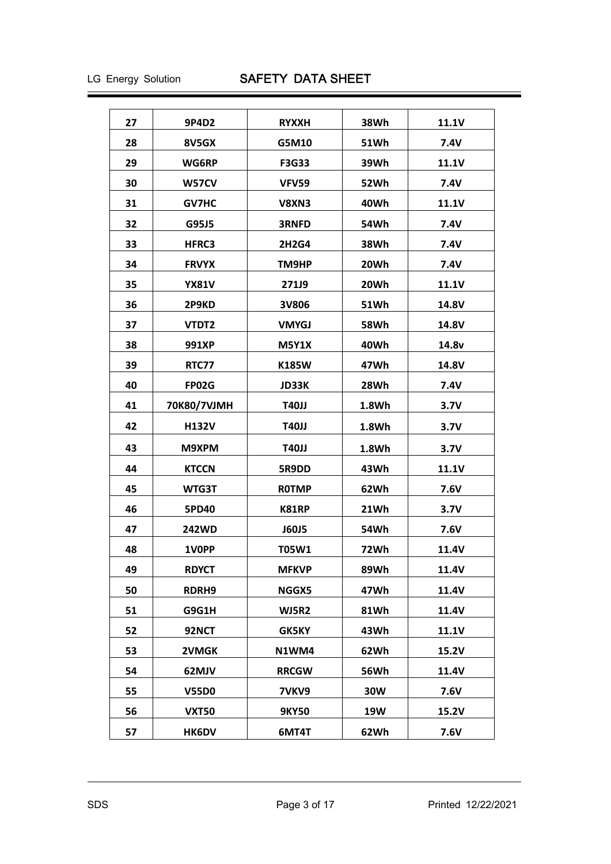| 27 | 9P4D2        | <b>RYXXH</b> | 38Wh        | 11.1V        |
|----|--------------|--------------|-------------|--------------|
| 28 | 8V5GX        | G5M10        | <b>51Wh</b> | 7.4V         |
| 29 | WG6RP        | <b>F3G33</b> | 39Wh        | 11.1V        |
| 30 | W57CV        | <b>VFV59</b> | 52Wh        | <b>7.4V</b>  |
| 31 | <b>GV7HC</b> | V8XN3        | 40Wh        | <b>11.1V</b> |
| 32 | G95J5        | <b>3RNFD</b> | 54Wh        | 7.4V         |
| 33 | <b>HFRC3</b> | 2H2G4        | 38Wh        | 7.4V         |
| 34 | <b>FRVYX</b> | TM9HP        | 20Wh        | <b>7.4V</b>  |
| 35 | <b>YX81V</b> | <b>271J9</b> | 20Wh        | 11.1V        |
| 36 | 2P9KD        | 3V806        | 51Wh        | 14.8V        |
| 37 | VTDT2        | <b>VMYGJ</b> | 58Wh        | 14.8V        |
| 38 | 991XP        | <b>M5Y1X</b> | 40Wh        | 14.8v        |
| 39 | RTC77        | <b>K185W</b> | 47Wh        | 14.8V        |
| 40 | <b>FP02G</b> | <b>JD33K</b> | 28Wh        | 7.4V         |
| 41 | 70K80/7VJMH  | T40JJ        | 1.8Wh       | 3.7V         |
| 42 | <b>H132V</b> | T40JJ        | 1.8Wh       | 3.7V         |
| 43 | M9XPM        | <b>T40JJ</b> | 1.8Wh       | 3.7V         |
| 44 | <b>KTCCN</b> | 5R9DD        | 43Wh        | 11.1V        |
| 45 | WTG3T        | <b>ROTMP</b> | 62Wh        | 7.6V         |
| 46 | <b>5PD40</b> | <b>K81RP</b> | 21Wh        | 3.7V         |
| 47 | <b>242WD</b> | <b>J60J5</b> | 54Wh        | 7.6V         |
| 48 | 1VOPP        | <b>T05W1</b> | 72Wh        | 11.4V        |
| 49 | <b>RDYCT</b> | <b>MFKVP</b> | 89Wh        | 11.4V        |
| 50 | RDRH9        | NGGX5        | 47Wh        | 11.4V        |
| 51 | G9G1H        | <b>WJ5R2</b> | 81Wh        | 11.4V        |
| 52 | 92NCT        | <b>GK5KY</b> | 43Wh        | 11.1V        |
| 53 | 2VMGK        | N1WM4        | 62Wh        | 15.2V        |
| 54 | 62MJV        | <b>RRCGW</b> | <b>56Wh</b> | 11.4V        |
| 55 | <b>V55D0</b> | 7VKV9        | 30W         | 7.6V         |
| 56 | <b>VXT50</b> | <b>9KY50</b> | <b>19W</b>  | 15.2V        |
| 57 | HK6DV        | 6MT4T        | 62Wh        | 7.6V         |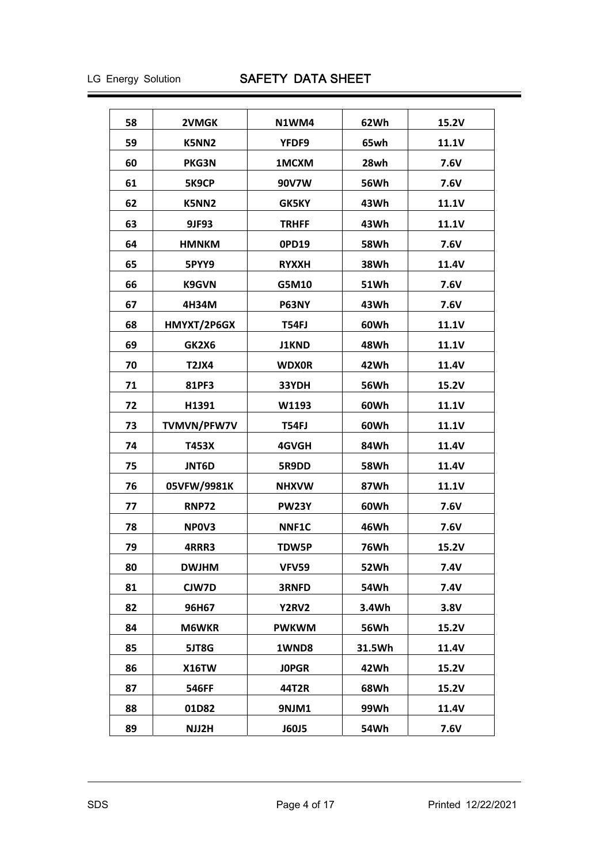| 58 | 2VMGK        | N1WM4        | 62Wh        | 15.2V        |
|----|--------------|--------------|-------------|--------------|
| 59 | K5NN2        | YFDF9        | 65wh        | 11.1V        |
| 60 | PKG3N        | 1MCXM        | 28wh        | 7.6V         |
| 61 | 5K9CP        | 90V7W        | 56Wh        | 7.6V         |
| 62 | K5NN2        | <b>GK5KY</b> | 43Wh        | 11.1V        |
| 63 | 9JF93        | <b>TRHFF</b> | 43Wh        | 11.1V        |
| 64 | <b>HMNKM</b> | 0PD19        | 58Wh        | 7.6V         |
| 65 | 5PYY9        | <b>RYXXH</b> | 38Wh        | 11.4V        |
| 66 | <b>K9GVN</b> | G5M10        | 51Wh        | 7.6V         |
| 67 | 4H34M        | P63NY        | 43Wh        | 7.6V         |
| 68 | HMYXT/2P6GX  | <b>T54FJ</b> | 60Wh        | 11.1V        |
| 69 | GK2X6        | <b>J1KND</b> | 48Wh        | <b>11.1V</b> |
| 70 | T2JX4        | <b>WDX0R</b> | 42Wh        | 11.4V        |
| 71 | 81PF3        | 33YDH        | <b>56Wh</b> | 15.2V        |
| 72 | H1391        | W1193        | 60Wh        | <b>11.1V</b> |
| 73 | TVMVN/PFW7V  | T54FJ        | 60Wh        | 11.1V        |
| 74 | T453X        | 4GVGH        | 84Wh        | 11.4V        |
| 75 | <b>JNT6D</b> | 5R9DD        | 58Wh        | 11.4V        |
| 76 | 05VFW/9981K  | <b>NHXVW</b> | 87Wh        | 11.1V        |
| 77 | <b>RNP72</b> | <b>PW23Y</b> | 60Wh        | 7.6V         |
| 78 | NPOV3        | <b>NNF1C</b> | 46Wh        | 7.6V         |
| 79 | 4RRR3        | <b>TDW5P</b> | 76Wh        | 15.2V        |
| 80 | <b>DWJHM</b> | <b>VFV59</b> | 52Wh        | 7.4V         |
| 81 | CJW7D        | 3RNFD        | 54Wh        | 7.4V         |
| 82 | 96H67        | <b>Y2RV2</b> | 3.4Wh       | 3.8V         |
| 84 | <b>M6WKR</b> | <b>PWKWM</b> | <b>56Wh</b> | 15.2V        |
| 85 | 5JT8G        | 1WND8        | 31.5Wh      | 11.4V        |
| 86 | <b>X16TW</b> | <b>JOPGR</b> | 42Wh        | 15.2V        |
| 87 | 546FF        | 44T2R        | 68Wh        | 15.2V        |
| 88 | 01D82        | 9NJM1        | 99Wh        | 11.4V        |
| 89 | NJJ2H        | <b>J60J5</b> | 54Wh        | 7.6V         |
|    |              |              |             |              |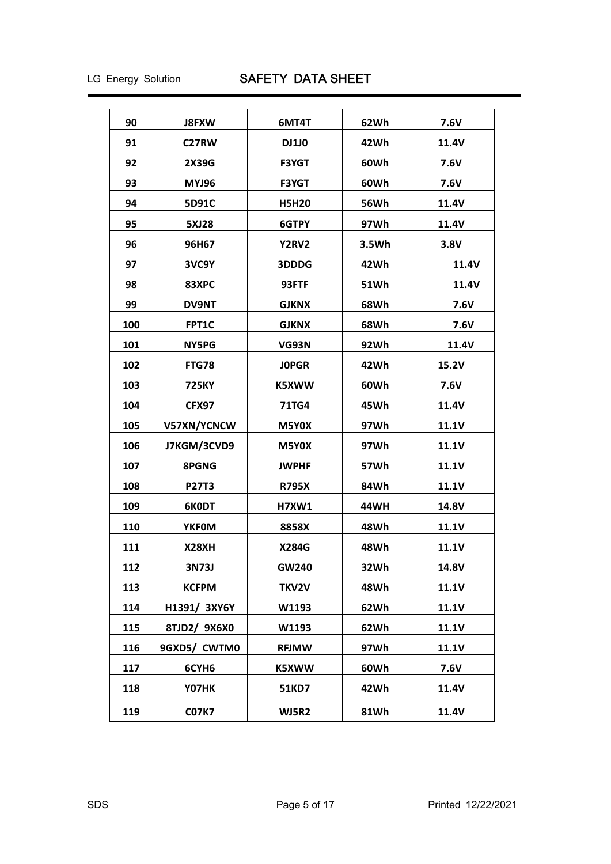| 90  | <b>J8FXW</b> | 6MT4T        | 62Wh  | 7.6V         |
|-----|--------------|--------------|-------|--------------|
| 91  | C27RW        | <b>DJ1J0</b> | 42Wh  | 11.4V        |
| 92  | 2X39G        | <b>F3YGT</b> | 60Wh  | 7.6V         |
| 93  | <b>MYJ96</b> | <b>F3YGT</b> | 60Wh  | 7.6V         |
| 94  | 5D91C        | <b>H5H20</b> | 56Wh  | 11.4V        |
| 95  | <b>5XJ28</b> | 6GTPY        | 97Wh  | 11.4V        |
| 96  | 96H67        | Y2RV2        | 3.5Wh | 3.8V         |
| 97  | 3VC9Y        | 3DDDG        | 42Wh  | 11.4V        |
| 98  | 83XPC        | 93FTF        | 51Wh  | 11.4V        |
| 99  | <b>DV9NT</b> | <b>GJKNX</b> | 68Wh  | 7.6V         |
| 100 | FPT1C        | <b>GJKNX</b> | 68Wh  | <b>7.6V</b>  |
| 101 | NY5PG        | VG93N        | 92Wh  | 11.4V        |
| 102 | <b>FTG78</b> | <b>JOPGR</b> | 42Wh  | 15.2V        |
| 103 | 725KY        | K5XWW        | 60Wh  | 7.6V         |
| 104 | CFX97        | <b>71TG4</b> | 45Wh  | 11.4V        |
| 105 | V57XN/YCNCW  | M5Y0X        | 97Wh  | <b>11.1V</b> |
| 106 | J7KGM/3CVD9  | M5Y0X        | 97Wh  | 11.1V        |
| 107 | <b>8PGNG</b> | <b>JWPHF</b> | 57Wh  | <b>11.1V</b> |
| 108 | <b>P27T3</b> | <b>R795X</b> | 84Wh  | 11.1V        |
| 109 | 6K0DT        | <b>H7XW1</b> | 44WH  | 14.8V        |
| 110 | <b>YKFOM</b> | 8858X        | 48Wh  | 11.1V        |
| 111 | X28XH        | <b>X284G</b> | 48Wh  | 11.1V        |
| 112 | 3N73J        | GW240        | 32Wh  | 14.8V        |
| 113 | <b>KCFPM</b> | TKV2V        | 48Wh  | 11.1V        |
| 114 | H1391/ 3XY6Y | W1193        | 62Wh  | 11.1V        |
| 115 | 8TJD2/ 9X6X0 | W1193        | 62Wh  | 11.1V        |
| 116 | 9GXD5/ CWTM0 | <b>RFJMW</b> | 97Wh  | 11.1V        |
| 117 | 6CYH6        | K5XWW        | 60Wh  | 7.6V         |
| 118 | Y07HK        | 51KD7        | 42Wh  | 11.4V        |
| 119 | <b>C07K7</b> | WJ5R2        | 81Wh  | 11.4V        |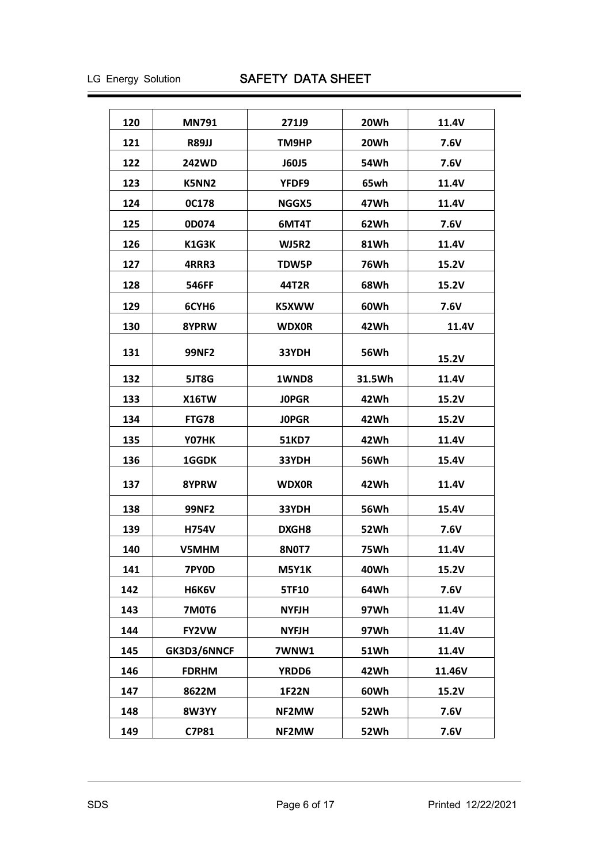| 120 | <b>MN791</b>      | 271J9        | 20Wh        | 11.4V  |
|-----|-------------------|--------------|-------------|--------|
| 121 | <b>R89JJ</b>      | TM9HP        | 20Wh        | 7.6V   |
| 122 | <b>242WD</b>      | <b>J60J5</b> | 54Wh        | 7.6V   |
| 123 | K5NN2             | <b>YFDF9</b> | 65wh        | 11.4V  |
| 124 | <b>0C178</b>      | NGGX5        | 47Wh        | 11.4V  |
| 125 | 0D074             | 6MT4T        | 62Wh        | 7.6V   |
| 126 | K1G3K             | <b>WJ5R2</b> | 81Wh        | 11.4V  |
| 127 | 4RRR3             | <b>TDW5P</b> | 76Wh        | 15.2V  |
| 128 | 546FF             | 44T2R        | 68Wh        | 15.2V  |
| 129 | 6CYH <sub>6</sub> | K5XWW        | 60Wh        | 7.6V   |
| 130 | 8YPRW             | <b>WDX0R</b> | 42Wh        | 11.4V  |
| 131 | 99NF2             | 33YDH        | 56Wh        | 15.2V  |
| 132 | 5JT8G             | 1WND8        | 31.5Wh      | 11.4V  |
| 133 | <b>X16TW</b>      | <b>JOPGR</b> | 42Wh        | 15.2V  |
| 134 | FTG78             | <b>JOPGR</b> | 42Wh        | 15.2V  |
| 135 | Y07HK             | 51KD7        | 42Wh        | 11.4V  |
| 136 | <b>1GGDK</b>      | 33YDH        | 56Wh        | 15.4V  |
| 137 | 8YPRW             | <b>WDX0R</b> | 42Wh        | 11.4V  |
| 138 | <b>99NF2</b>      | 33YDH        | <b>56Wh</b> | 15.4V  |
| 139 | H754V             | <b>DXGH8</b> | 52Wh        | 7.6V   |
| 140 | V5MHM             | <b>8N0T7</b> | 75Wh        | 11.4V  |
| 141 | 7PY0D             | <b>M5Y1K</b> | 40Wh        | 15.2V  |
| 142 | H6K6V             | 5TF10        | 64Wh        | 7.6V   |
| 143 | <b>7M0T6</b>      | <b>NYFJH</b> | 97Wh        | 11.4V  |
| 144 | FY2VW             | <b>NYFJH</b> | 97Wh        | 11.4V  |
| 145 | GK3D3/6NNCF       | <b>7WNW1</b> | <b>51Wh</b> | 11.4V  |
| 146 | <b>FDRHM</b>      | YRDD6        | 42Wh        | 11.46V |
| 147 | 8622M             | <b>1F22N</b> | 60Wh        | 15.2V  |
| 148 | <b>8W3YY</b>      | NF2MW        | <b>52Wh</b> | 7.6V   |
| 149 | C7P81             | NF2MW        | 52Wh        | 7.6V   |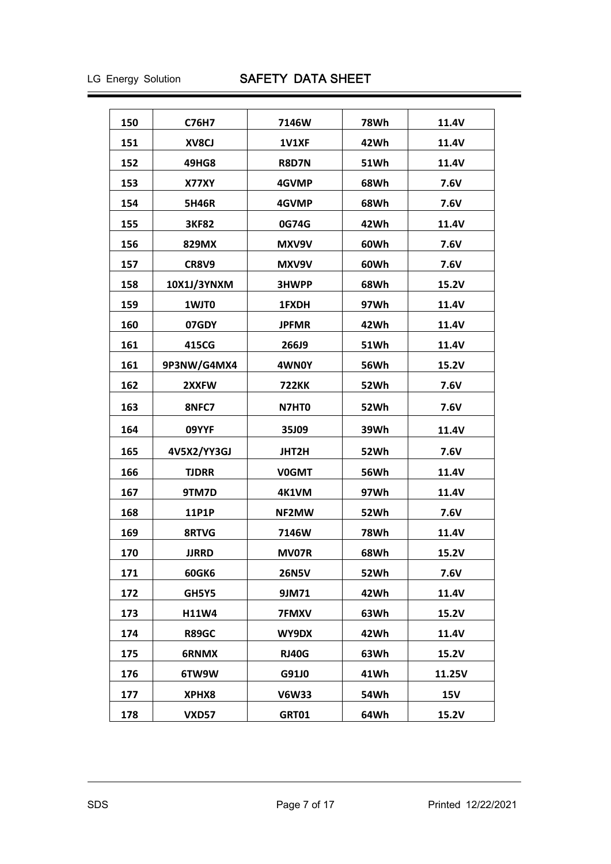| 150<br>C76H7<br>7146W<br>78Wh<br>11.4V<br>151<br>42Wh<br>XV8CJ<br>1V1XF<br>11.4V<br>152<br><b>51Wh</b><br>49HG8<br><b>R8D7N</b><br>11.4V<br>153<br>68Wh<br>7.6V<br>X77XY<br>4GVMP<br>154<br><b>5H46R</b><br>4GVMP<br>68Wh<br>7.6V<br>155<br>42Wh<br><b>3KF82</b><br>0G74G<br>11.4V<br>156<br>7.6V<br>829MX<br>MXV9V<br>60Wh<br>157<br>CR8V9<br>MXV9V<br>60Wh<br>7.6V<br>158<br>10X1J/3YNXM<br>68Wh<br>3HWPP<br>15.2V<br>159<br>97Wh<br>1WJT0<br>1FXDH<br>11.4V<br>160<br>07GDY<br><b>JPFMR</b><br>42Wh<br>11.4V<br>161<br>415CG<br>266J9<br>51Wh<br>11.4V<br>161<br>9P3NW/G4MX4<br>4WN0Y<br>56Wh<br>15.2V<br>162<br>52Wh<br>7.6V<br>2XXFW<br><b>722KK</b><br>163<br>7.6V<br>8NFC7<br>N7HT0<br>52Wh<br>164<br>09YYF<br>35J09<br>39Wh<br>11.4V<br>165<br>4V5X2/YY3GJ<br>JHT2H<br>52Wh<br>7.6V<br>166<br><b>TJDRR</b><br><b>56Wh</b><br>11.4V<br><b>V0GMT</b><br>167<br>9TM7D<br>4K1VM<br>97Wh<br>11.4V<br>168<br>52Wh<br>11P1P<br>NF2MW<br>7.6V<br>169<br>8RTVG<br>7146W<br><b>78Wh</b><br>11.4V<br>170<br><b>JJRRD</b><br><b>MV07R</b><br>68Wh<br>15.2V<br>171<br>7.6V<br><b>60GK6</b><br><b>26N5V</b><br>52Wh<br>172<br>9JM71<br>42Wh<br>11.4V<br>GH5Y5<br>173<br>H11W4<br><b>7FMXV</b><br>63Wh<br>15.2V<br>174<br><b>R89GC</b><br>WY9DX<br>42Wh<br>11.4V<br>175<br><b>RJ40G</b><br>63Wh<br>15.2V<br>6RNMX<br>176<br>6TW9W<br>G91J0<br>41Wh<br>11.25V<br><b>15V</b><br>177<br>XPHX8<br><b>V6W33</b><br>54Wh<br>178<br><b>VXD57</b><br><b>GRT01</b><br>64Wh<br>15.2V |  |  |  |
|---------------------------------------------------------------------------------------------------------------------------------------------------------------------------------------------------------------------------------------------------------------------------------------------------------------------------------------------------------------------------------------------------------------------------------------------------------------------------------------------------------------------------------------------------------------------------------------------------------------------------------------------------------------------------------------------------------------------------------------------------------------------------------------------------------------------------------------------------------------------------------------------------------------------------------------------------------------------------------------------------------------------------------------------------------------------------------------------------------------------------------------------------------------------------------------------------------------------------------------------------------------------------------------------------------------------------------------------------------------------------------------------------------------------------------------------------------------------|--|--|--|
|                                                                                                                                                                                                                                                                                                                                                                                                                                                                                                                                                                                                                                                                                                                                                                                                                                                                                                                                                                                                                                                                                                                                                                                                                                                                                                                                                                                                                                                                     |  |  |  |
|                                                                                                                                                                                                                                                                                                                                                                                                                                                                                                                                                                                                                                                                                                                                                                                                                                                                                                                                                                                                                                                                                                                                                                                                                                                                                                                                                                                                                                                                     |  |  |  |
|                                                                                                                                                                                                                                                                                                                                                                                                                                                                                                                                                                                                                                                                                                                                                                                                                                                                                                                                                                                                                                                                                                                                                                                                                                                                                                                                                                                                                                                                     |  |  |  |
|                                                                                                                                                                                                                                                                                                                                                                                                                                                                                                                                                                                                                                                                                                                                                                                                                                                                                                                                                                                                                                                                                                                                                                                                                                                                                                                                                                                                                                                                     |  |  |  |
|                                                                                                                                                                                                                                                                                                                                                                                                                                                                                                                                                                                                                                                                                                                                                                                                                                                                                                                                                                                                                                                                                                                                                                                                                                                                                                                                                                                                                                                                     |  |  |  |
|                                                                                                                                                                                                                                                                                                                                                                                                                                                                                                                                                                                                                                                                                                                                                                                                                                                                                                                                                                                                                                                                                                                                                                                                                                                                                                                                                                                                                                                                     |  |  |  |
|                                                                                                                                                                                                                                                                                                                                                                                                                                                                                                                                                                                                                                                                                                                                                                                                                                                                                                                                                                                                                                                                                                                                                                                                                                                                                                                                                                                                                                                                     |  |  |  |
|                                                                                                                                                                                                                                                                                                                                                                                                                                                                                                                                                                                                                                                                                                                                                                                                                                                                                                                                                                                                                                                                                                                                                                                                                                                                                                                                                                                                                                                                     |  |  |  |
|                                                                                                                                                                                                                                                                                                                                                                                                                                                                                                                                                                                                                                                                                                                                                                                                                                                                                                                                                                                                                                                                                                                                                                                                                                                                                                                                                                                                                                                                     |  |  |  |
|                                                                                                                                                                                                                                                                                                                                                                                                                                                                                                                                                                                                                                                                                                                                                                                                                                                                                                                                                                                                                                                                                                                                                                                                                                                                                                                                                                                                                                                                     |  |  |  |
|                                                                                                                                                                                                                                                                                                                                                                                                                                                                                                                                                                                                                                                                                                                                                                                                                                                                                                                                                                                                                                                                                                                                                                                                                                                                                                                                                                                                                                                                     |  |  |  |
|                                                                                                                                                                                                                                                                                                                                                                                                                                                                                                                                                                                                                                                                                                                                                                                                                                                                                                                                                                                                                                                                                                                                                                                                                                                                                                                                                                                                                                                                     |  |  |  |
|                                                                                                                                                                                                                                                                                                                                                                                                                                                                                                                                                                                                                                                                                                                                                                                                                                                                                                                                                                                                                                                                                                                                                                                                                                                                                                                                                                                                                                                                     |  |  |  |
|                                                                                                                                                                                                                                                                                                                                                                                                                                                                                                                                                                                                                                                                                                                                                                                                                                                                                                                                                                                                                                                                                                                                                                                                                                                                                                                                                                                                                                                                     |  |  |  |
|                                                                                                                                                                                                                                                                                                                                                                                                                                                                                                                                                                                                                                                                                                                                                                                                                                                                                                                                                                                                                                                                                                                                                                                                                                                                                                                                                                                                                                                                     |  |  |  |
|                                                                                                                                                                                                                                                                                                                                                                                                                                                                                                                                                                                                                                                                                                                                                                                                                                                                                                                                                                                                                                                                                                                                                                                                                                                                                                                                                                                                                                                                     |  |  |  |
|                                                                                                                                                                                                                                                                                                                                                                                                                                                                                                                                                                                                                                                                                                                                                                                                                                                                                                                                                                                                                                                                                                                                                                                                                                                                                                                                                                                                                                                                     |  |  |  |
|                                                                                                                                                                                                                                                                                                                                                                                                                                                                                                                                                                                                                                                                                                                                                                                                                                                                                                                                                                                                                                                                                                                                                                                                                                                                                                                                                                                                                                                                     |  |  |  |
|                                                                                                                                                                                                                                                                                                                                                                                                                                                                                                                                                                                                                                                                                                                                                                                                                                                                                                                                                                                                                                                                                                                                                                                                                                                                                                                                                                                                                                                                     |  |  |  |
|                                                                                                                                                                                                                                                                                                                                                                                                                                                                                                                                                                                                                                                                                                                                                                                                                                                                                                                                                                                                                                                                                                                                                                                                                                                                                                                                                                                                                                                                     |  |  |  |
|                                                                                                                                                                                                                                                                                                                                                                                                                                                                                                                                                                                                                                                                                                                                                                                                                                                                                                                                                                                                                                                                                                                                                                                                                                                                                                                                                                                                                                                                     |  |  |  |
|                                                                                                                                                                                                                                                                                                                                                                                                                                                                                                                                                                                                                                                                                                                                                                                                                                                                                                                                                                                                                                                                                                                                                                                                                                                                                                                                                                                                                                                                     |  |  |  |
|                                                                                                                                                                                                                                                                                                                                                                                                                                                                                                                                                                                                                                                                                                                                                                                                                                                                                                                                                                                                                                                                                                                                                                                                                                                                                                                                                                                                                                                                     |  |  |  |
|                                                                                                                                                                                                                                                                                                                                                                                                                                                                                                                                                                                                                                                                                                                                                                                                                                                                                                                                                                                                                                                                                                                                                                                                                                                                                                                                                                                                                                                                     |  |  |  |
|                                                                                                                                                                                                                                                                                                                                                                                                                                                                                                                                                                                                                                                                                                                                                                                                                                                                                                                                                                                                                                                                                                                                                                                                                                                                                                                                                                                                                                                                     |  |  |  |
|                                                                                                                                                                                                                                                                                                                                                                                                                                                                                                                                                                                                                                                                                                                                                                                                                                                                                                                                                                                                                                                                                                                                                                                                                                                                                                                                                                                                                                                                     |  |  |  |
|                                                                                                                                                                                                                                                                                                                                                                                                                                                                                                                                                                                                                                                                                                                                                                                                                                                                                                                                                                                                                                                                                                                                                                                                                                                                                                                                                                                                                                                                     |  |  |  |
|                                                                                                                                                                                                                                                                                                                                                                                                                                                                                                                                                                                                                                                                                                                                                                                                                                                                                                                                                                                                                                                                                                                                                                                                                                                                                                                                                                                                                                                                     |  |  |  |
|                                                                                                                                                                                                                                                                                                                                                                                                                                                                                                                                                                                                                                                                                                                                                                                                                                                                                                                                                                                                                                                                                                                                                                                                                                                                                                                                                                                                                                                                     |  |  |  |
|                                                                                                                                                                                                                                                                                                                                                                                                                                                                                                                                                                                                                                                                                                                                                                                                                                                                                                                                                                                                                                                                                                                                                                                                                                                                                                                                                                                                                                                                     |  |  |  |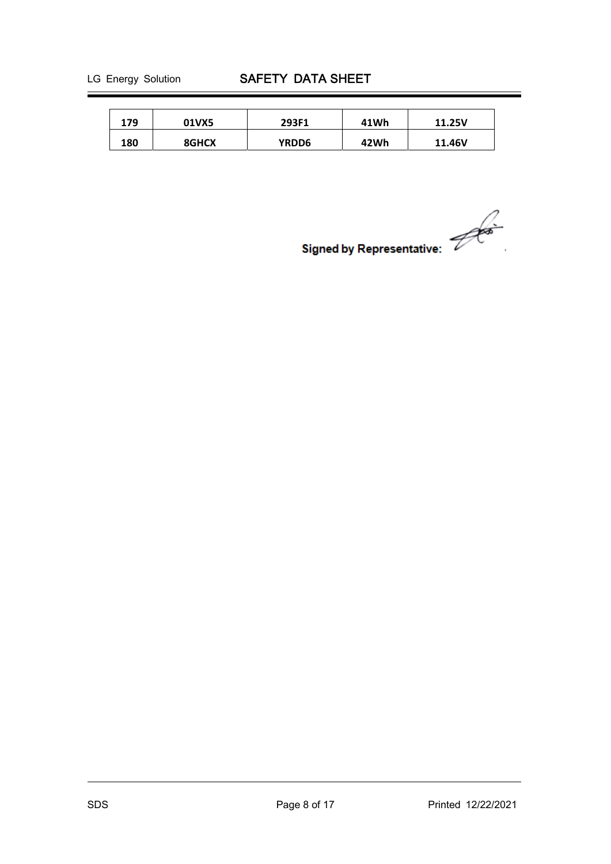| 179 | 01VX5 | 293F1 | 41Wh | 11.25V |
|-----|-------|-------|------|--------|
| 180 | 8GHCX | YRDD6 | 42Wh | 11.46V |

Signed by Representative: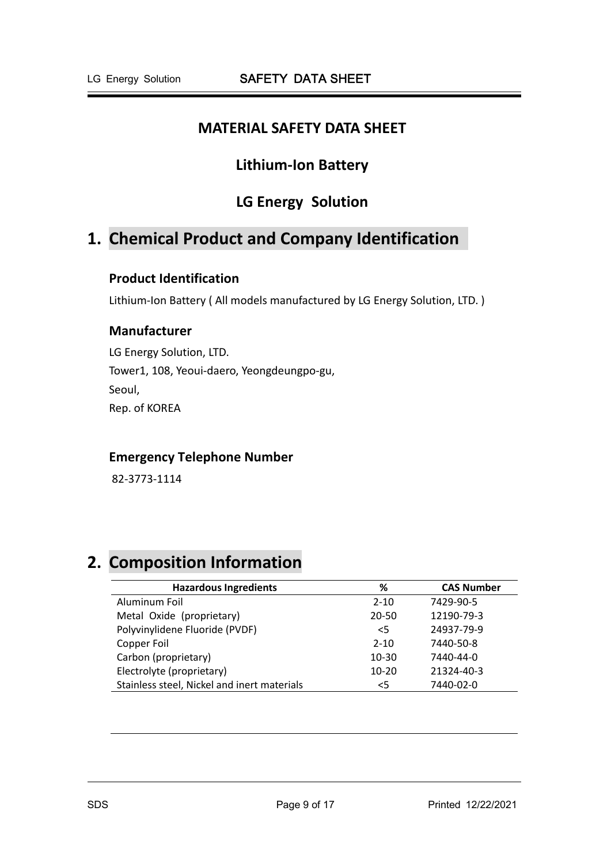## **MATERIAL SAFETY DATA SHEET**

## **Lithium‐Ion Battery**

## **LG Energy Solution**

# **1. Chemical Product and Company Identification**

## **Product Identification**

Lithium-Ion Battery (All models manufactured by LG Energy Solution, LTD.)

## **Manufacturer**

LG Energy Solution, LTD. Tower1, 108, Yeoui‐daero, Yeongdeungpo‐gu, Seoul, Rep. of KOREA

## **Emergency Telephone Number**

82‐3773‐1114

# **2. Composition Information**

| <b>Hazardous Ingredients</b>                | %         | <b>CAS Number</b> |
|---------------------------------------------|-----------|-------------------|
| Aluminum Foil                               | $2 - 10$  | 7429-90-5         |
| Metal Oxide (proprietary)                   | $20 - 50$ | 12190-79-3        |
| Polyvinylidene Fluoride (PVDF)              | $<$ 5     | 24937-79-9        |
| Copper Foil                                 | $2 - 10$  | 7440-50-8         |
| Carbon (proprietary)                        | $10 - 30$ | 7440-44-0         |
| Electrolyte (proprietary)                   | $10 - 20$ | 21324-40-3        |
| Stainless steel, Nickel and inert materials | $<$ 5     | 7440-02-0         |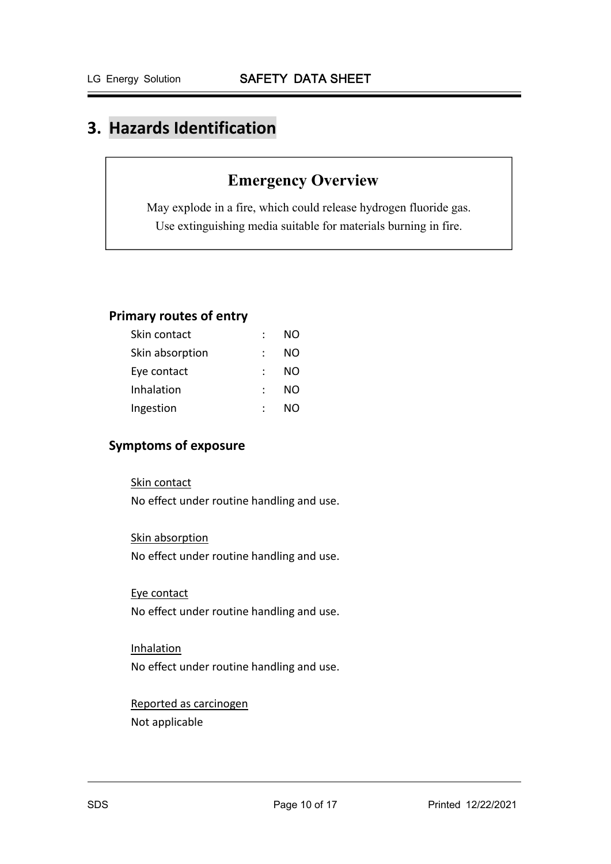# **3. Hazards Identification**

# **Emergency Overview**

May explode in a fire, which could release hydrogen fluoride gas. Use extinguishing media suitable for materials burning in fire.

## **Primary routes of entry**

| Skin contact    | NO |
|-----------------|----|
| Skin absorption | NO |
| Eye contact     | NO |
| Inhalation      | NO |
| Ingestion       | NΩ |

## **Symptoms of exposure**

#### Skin contact

No effect under routine handling and use.

Skin absorption

No effect under routine handling and use.

Eye contact

No effect under routine handling and use.

Inhalation No effect under routine handling and use.

Reported as carcinogen Not applicable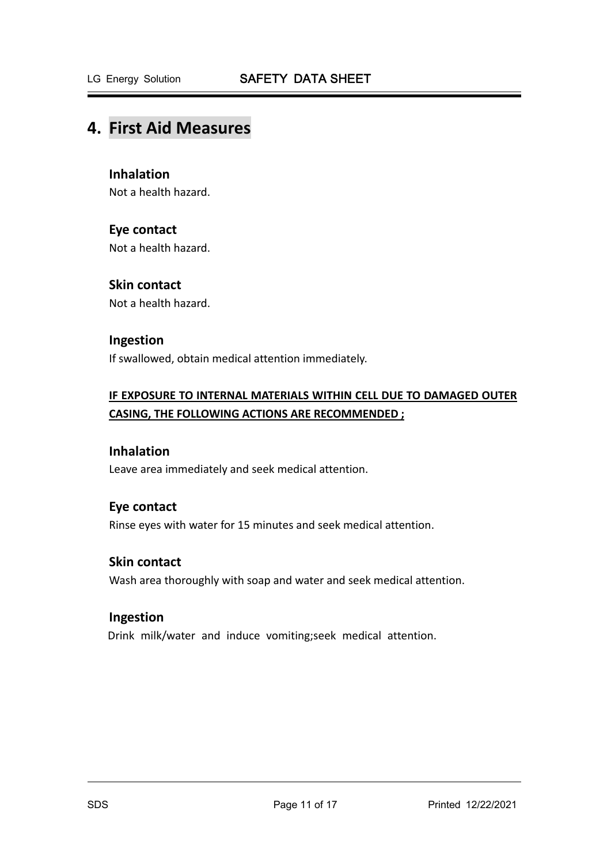## **4. First Aid Measures**

## **Inhalation**

Not a health hazard.

### **Eye contact**

Not a health hazard.

## **Skin contact**

Not a health hazard.

### **Ingestion**

If swallowed, obtain medical attention immediately.

## **IF EXPOSURE TO INTERNAL MATERIALS WITHIN CELL DUE TO DAMAGED OUTER CASING, THE FOLLOWING ACTIONS ARE RECOMMENDED ;**

## **Inhalation**

Leave area immediately and seek medical attention.

### **Eye contact**

Rinse eyes with water for 15 minutes and seek medical attention.

## **Skin contact**

Wash area thoroughly with soap and water and seek medical attention.

#### **Ingestion**

Drink milk/water and induce vomiting;seek medical attention.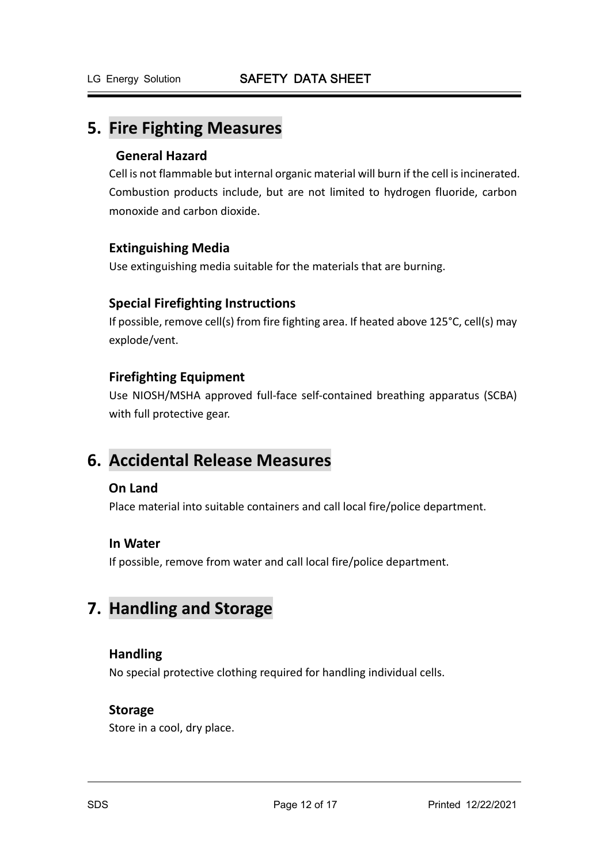## **5. Fire Fighting Measures**

## **General Hazard**

Cell is not flammable but internal organic material will burn if the cell is incinerated. Combustion products include, but are not limited to hydrogen fluoride, carbon monoxide and carbon dioxide.

## **Extinguishing Media**

Use extinguishing media suitable for the materials that are burning.

## **Special Firefighting Instructions**

If possible, remove cell(s) from fire fighting area. If heated above 125°C, cell(s) may explode/vent.

## **Firefighting Equipment**

Use NIOSH/MSHA approved full‐face self‐contained breathing apparatus (SCBA) with full protective gear.

# **6. Accidental Release Measures**

### **On Land**

Place material into suitable containers and call local fire/police department.

### **In Water**

If possible, remove from water and call local fire/police department.

# **7. Handling and Storage**

## **Handling**

No special protective clothing required for handling individual cells.

### **Storage**

Store in a cool, dry place.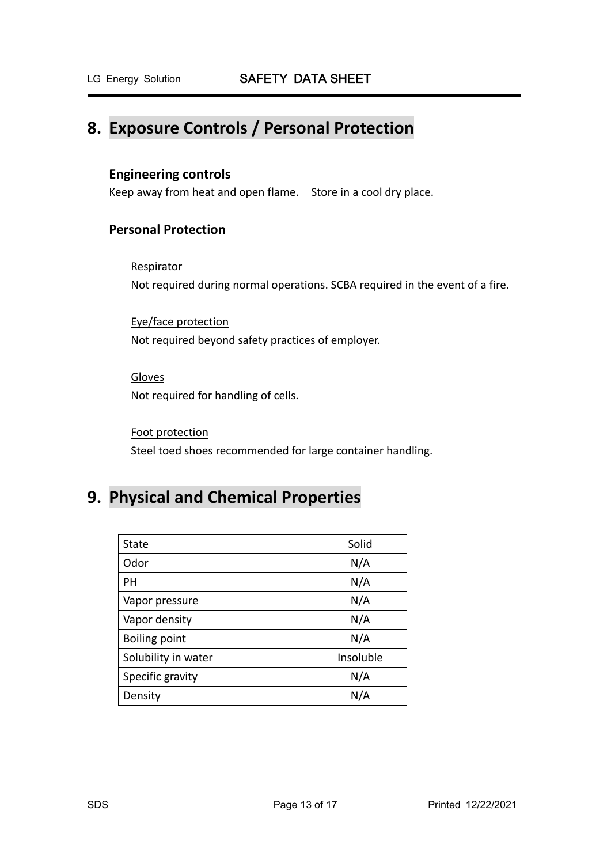# **8. Exposure Controls / Personal Protection**

## **Engineering controls**

Keep away from heat and open flame. Store in a cool dry place.

## **Personal Protection**

#### Respirator

Not required during normal operations. SCBA required in the event of a fire.

Eye/face protection Not required beyond safety practices of employer.

Gloves Not required for handling of cells.

Foot protection Steel toed shoes recommended for large container handling.

# **9. Physical and Chemical Properties**

| State                | Solid     |
|----------------------|-----------|
| Odor                 | N/A       |
| PН                   | N/A       |
| Vapor pressure       | N/A       |
| Vapor density        | N/A       |
| <b>Boiling point</b> | N/A       |
| Solubility in water  | Insoluble |
| Specific gravity     | N/A       |
| Density              | N/A       |
|                      |           |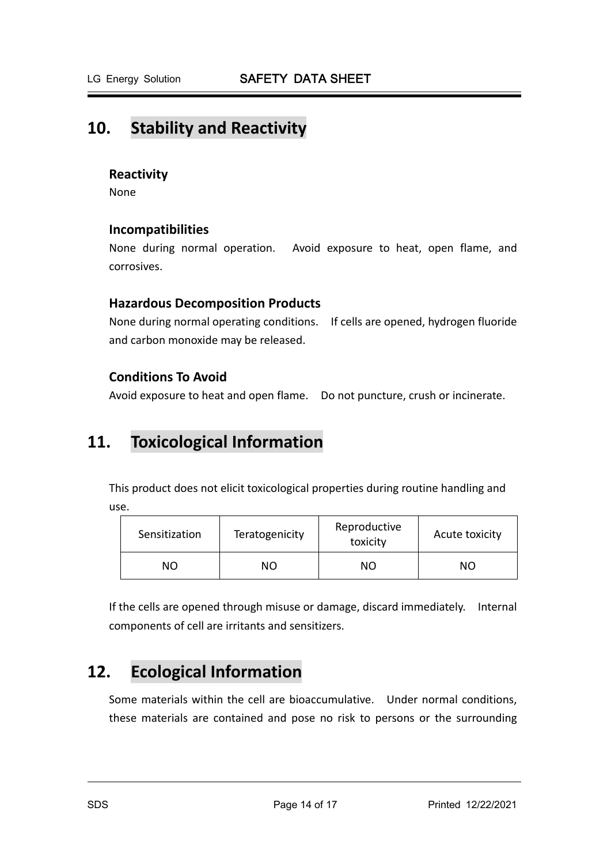# **10. Stability and Reactivity**

### **Reactivity**

None

## **Incompatibilities**

None during normal operation. Avoid exposure to heat, open flame, and corrosives.

### **Hazardous Decomposition Products**

None during normal operating conditions. If cells are opened, hydrogen fluoride and carbon monoxide may be released.

## **Conditions To Avoid**

Avoid exposure to heat and open flame. Do not puncture, crush or incinerate.

## **11. Toxicological Information**

This product does not elicit toxicological properties during routine handling and use.

| Sensitization | Teratogenicity | Reproductive<br>toxicity | Acute toxicity |
|---------------|----------------|--------------------------|----------------|
| NΟ            | ΝO             | ΝO                       | NΟ             |

If the cells are opened through misuse or damage, discard immediately. Internal components of cell are irritants and sensitizers.

# **12. Ecological Information**

Some materials within the cell are bioaccumulative. Under normal conditions, these materials are contained and pose no risk to persons or the surrounding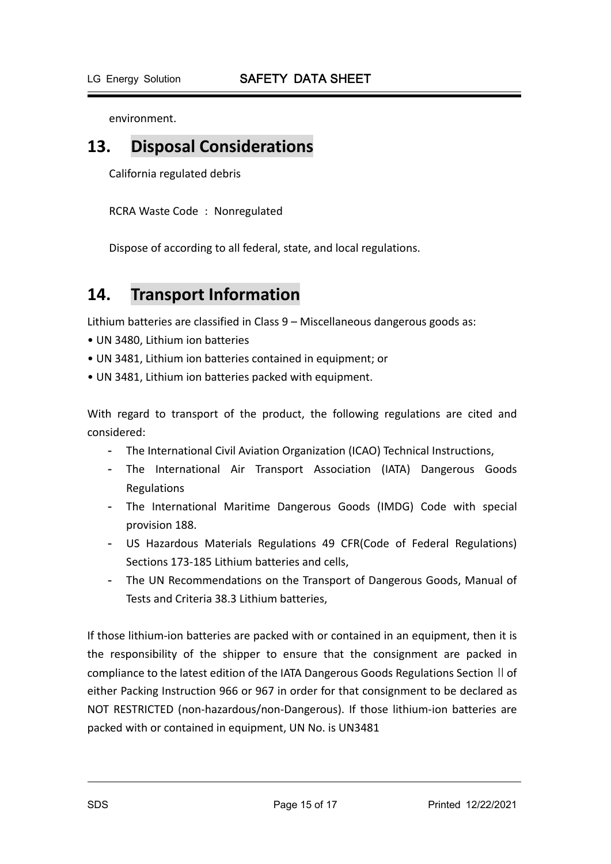environment.

## **13. Disposal Considerations**

California regulated debris

RCRA Waste Code : Nonregulated

Dispose of according to all federal, state, and local regulations.

# **14. Transport Information**

Lithium batteries are classified in Class 9 – Miscellaneous dangerous goods as:

- UN 3480, Lithium ion batteries
- UN 3481, Lithium ion batteries contained in equipment; or
- UN 3481, Lithium ion batteries packed with equipment.

With regard to transport of the product, the following regulations are cited and considered:

- The International Civil Aviation Organization (ICAO) Technical Instructions,
- The International Air Transport Association (IATA) Dangerous Goods Regulations
- The International Maritime Dangerous Goods (IMDG) Code with special provision 188.
- US Hazardous Materials Regulations 49 CFR(Code of Federal Regulations) Sections 173‐185 Lithium batteries and cells,
- The UN Recommendations on the Transport of Dangerous Goods, Manual of Tests and Criteria 38.3 Lithium batteries,

If those lithium‐ion batteries are packed with or contained in an equipment, then it is the responsibility of the shipper to ensure that the consignment are packed in compliance to the latest edition of the IATA Dangerous Goods Regulations Section II of either Packing Instruction 966 or 967 in order for that consignment to be declared as NOT RESTRICTED (non‐hazardous/non‐Dangerous). If those lithium‐ion batteries are packed with or contained in equipment, UN No. is UN3481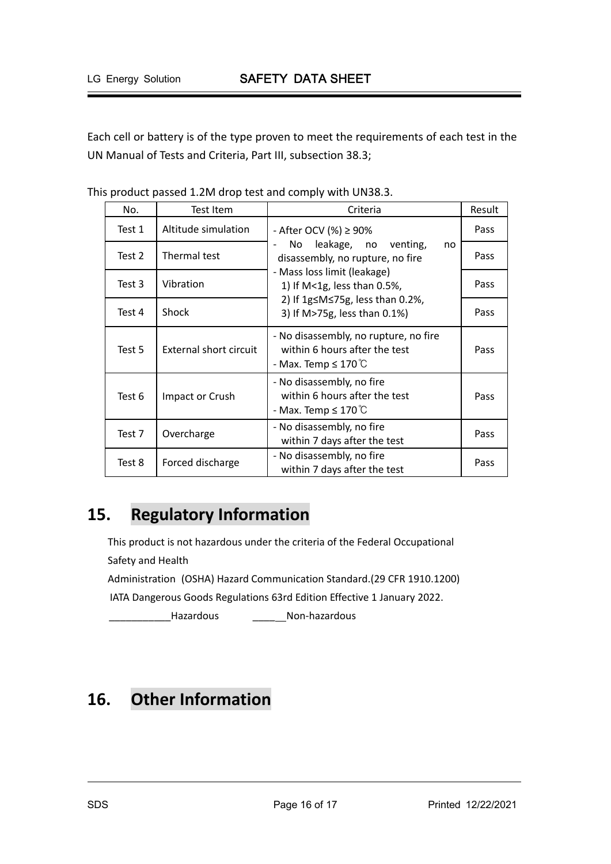Each cell or battery is of the type proven to meet the requirements of each test in the UN Manual of Tests and Criteria, Part III, subsection 38.3;

| No.    | Test Item              | Criteria                                                                                                                                                                                                                                      | Result |
|--------|------------------------|-----------------------------------------------------------------------------------------------------------------------------------------------------------------------------------------------------------------------------------------------|--------|
| Test 1 | Altitude simulation    | - After OCV $% > 90\%$<br>leakage, no venting,<br>No.<br>no<br>disassembly, no rupture, no fire<br>- Mass loss limit (leakage)<br>1) If M<1g, less than 0.5%,<br>2) If $1g \leq M \leq 75g$ , less than 0.2%,<br>3) If M>75g, less than 0.1%) | Pass   |
| Test 2 | Thermal test           |                                                                                                                                                                                                                                               | Pass   |
| Test 3 | Vibration              |                                                                                                                                                                                                                                               | Pass   |
| Test 4 | Shock                  |                                                                                                                                                                                                                                               | Pass   |
| Test 5 | External short circuit | - No disassembly, no rupture, no fire<br>within 6 hours after the test<br>- Max. Temp $\leq 170^{\circ}$ C                                                                                                                                    | Pass   |
| Test 6 | Impact or Crush        | - No disassembly, no fire<br>within 6 hours after the test<br>- Max. Temp $\leq 170^{\circ}$ C                                                                                                                                                | Pass   |
| Test 7 | Overcharge             | - No disassembly, no fire<br>within 7 days after the test                                                                                                                                                                                     | Pass   |
| Test 8 | Forced discharge       | - No disassembly, no fire<br>within 7 days after the test                                                                                                                                                                                     | Pass   |

This product passed 1.2M drop test and comply with UN38.3.

# **15. Regulatory Information**

This product is not hazardous under the criteria of the Federal Occupational Safety and Health Administration (OSHA) Hazard Communication Standard.(29 CFR 1910.1200) IATA Dangerous Goods Regulations 63rd Edition Effective 1 January 2022.

\_\_\_\_\_\_\_\_\_\_\_Hazardous \_\_\_\_ Non‐hazardous

# **16. Other Information**